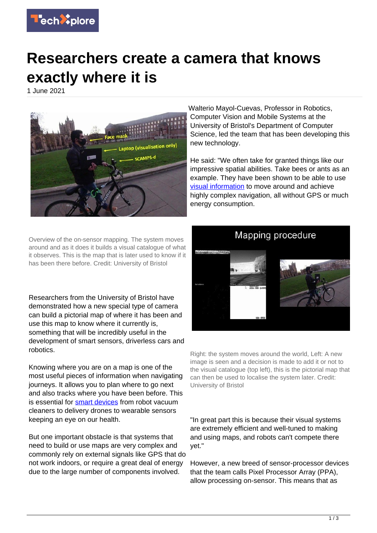

## **Researchers create a camera that knows exactly where it is**

1 June 2021



Walterio Mayol-Cuevas, Professor in Robotics, Computer Vision and Mobile Systems at the University of Bristol's Department of Computer Science, led the team that has been developing this new technology.

He said: "We often take for granted things like our impressive spatial abilities. Take bees or ants as an example. They have been shown to be able to use [visual information](https://techxplore.com/tags/visual+information/) to move around and achieve highly complex navigation, all without GPS or much energy consumption.

Overview of the on-sensor mapping. The system moves around and as it does it builds a visual catalogue of what it observes. This is the map that is later used to know if it has been there before. Credit: University of Bristol

Researchers from the University of Bristol have demonstrated how a new special type of camera can build a pictorial map of where it has been and use this map to know where it currently is, something that will be incredibly useful in the development of smart sensors, driverless cars and robotics.

Knowing where you are on a map is one of the most useful pieces of information when navigating journeys. It allows you to plan where to go next and also tracks where you have been before. This is essential for [smart devices](https://techxplore.com/tags/smart+devices/) from robot vacuum cleaners to delivery drones to wearable sensors keeping an eye on our health.

But one important obstacle is that systems that need to build or use maps are very complex and commonly rely on external signals like GPS that do not work indoors, or require a great deal of energy due to the large number of components involved.



Right: the system moves around the world, Left: A new image is seen and a decision is made to add it or not to the visual catalogue (top left), this is the pictorial map that can then be used to localise the system later. Credit: University of Bristol

"In great part this is because their visual systems are extremely efficient and well-tuned to making and using maps, and robots can't compete there yet."

However, a new breed of sensor-processor devices that the team calls Pixel Processor Array (PPA), allow processing on-sensor. This means that as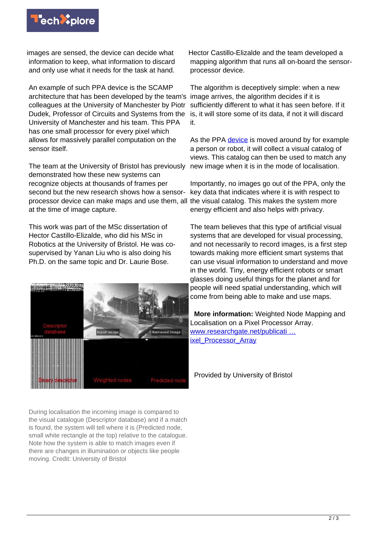

images are sensed, the device can decide what information to keep, what information to discard and only use what it needs for the task at hand.

An example of such PPA device is the SCAMP architecture that has been developed by the team's colleagues at the University of Manchester by Piotr Dudek, Professor of Circuits and Systems from the University of Manchester and his team. This PPA has one small processor for every pixel which allows for massively parallel computation on the sensor itself.

The team at the University of Bristol has previously demonstrated how these new systems can recognize objects at thousands of frames per second but the new research shows how a sensorprocessor device can make maps and use them, all the visual catalog. This makes the system more at the time of image capture.

This work was part of the MSc dissertation of Hector Castillo-Elizalde, who did his MSc in Robotics at the University of Bristol. He was cosupervised by Yanan Liu who is also doing his Ph.D. on the same topic and Dr. Laurie Bose.



During localisation the incoming image is compared to the visual catalogue (Descriptor database) and if a match is found, the system will tell where it is (Predicted node, small white rectangle at the top) relative to the catalogue. Note how the system is able to match images even if there are changes in illumination or objects like people moving. Credit: University of Bristol

Hector Castillo-Elizalde and the team developed a mapping algorithm that runs all on-board the sensorprocessor device.

The algorithm is deceptively simple: when a new image arrives, the algorithm decides if it is sufficiently different to what it has seen before. If it is, it will store some of its data, if not it will discard it.

As the PPA [device](https://techxplore.com/tags/device/) is moved around by for example a person or robot, it will collect a visual catalog of views. This catalog can then be used to match any new image when it is in the mode of localisation.

Importantly, no images go out of the PPA, only the key data that indicates where it is with respect to energy efficient and also helps with privacy.

The team believes that this type of artificial visual systems that are developed for visual processing, and not necessarily to record images, is a first step towards making more efficient smart systems that can use visual information to understand and move in the world. Tiny, energy efficient robots or smart glasses doing useful things for the planet and for people will need spatial understanding, which will come from being able to make and use maps.

 **More information:** Weighted Node Mapping and Localisation on a Pixel Processor Array. [www.researchgate.net/publicati …](https://www.researchgate.net/publication/350187131_Weighted_Node_Mapping_and_Localisation_on_a_Pixel_Processor_Array) ixel Processor Array

Provided by University of Bristol